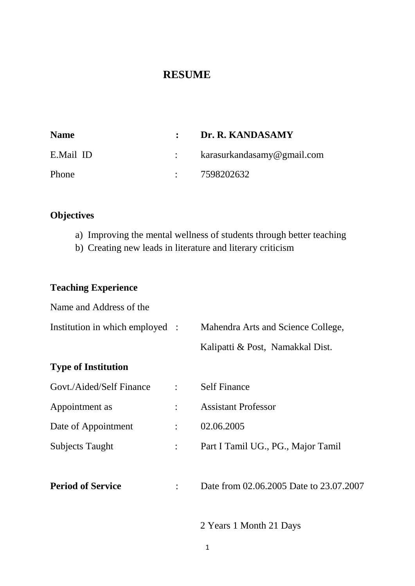# **RESUME**

| <b>Name</b> | : Dr. R. KANDASAMY             |  |
|-------------|--------------------------------|--|
| E.Mail ID   | : $karasurkandasamy@gmail.com$ |  |
| Phone       | : 7598202632                   |  |

# **Objectives**

- a) Improving the mental wellness of students through better teaching
- b) Creating new leads in literature and literary criticism

# **Teaching Experience**

| Name and Address of the         |                      |                                         |  |
|---------------------------------|----------------------|-----------------------------------------|--|
| Institution in which employed : |                      | Mahendra Arts and Science College,      |  |
|                                 |                      | Kalipatti & Post, Namakkal Dist.        |  |
| <b>Type of Institution</b>      |                      |                                         |  |
| Govt./Aided/Self Finance        | $\ddot{\cdot}$       | <b>Self Finance</b>                     |  |
| Appointment as                  |                      | <b>Assistant Professor</b>              |  |
| Date of Appointment             | $\ddot{\phantom{a}}$ | 02.06.2005                              |  |
| <b>Subjects Taught</b>          | $\ddot{\cdot}$       | Part I Tamil UG., PG., Major Tamil      |  |
|                                 |                      |                                         |  |
| <b>Period of Service</b>        |                      | Date from 02.06.2005 Date to 23.07.2007 |  |
|                                 |                      |                                         |  |

2 Years 1 Month 21 Days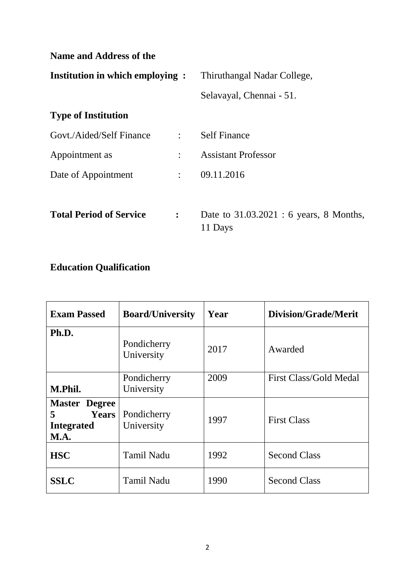| <b>Name and Address of the</b>         |                |                                                    |  |  |  |  |  |
|----------------------------------------|----------------|----------------------------------------------------|--|--|--|--|--|
| <b>Institution in which employing:</b> |                | Thiruthangal Nadar College,                        |  |  |  |  |  |
|                                        |                | Selavayal, Chennai - 51.                           |  |  |  |  |  |
| <b>Type of Institution</b>             |                |                                                    |  |  |  |  |  |
| Govt./Aided/Self Finance               | $\mathbb{R}^n$ | <b>Self Finance</b>                                |  |  |  |  |  |
| Appointment as                         | $\ddot{\cdot}$ | <b>Assistant Professor</b>                         |  |  |  |  |  |
| Date of Appointment                    | $\mathbb{R}^n$ | 09.11.2016                                         |  |  |  |  |  |
|                                        |                |                                                    |  |  |  |  |  |
| <b>Total Period of Service</b>         | $\ddot{\cdot}$ | Date to 31.03.2021 : 6 years, 8 Months,<br>11 Days |  |  |  |  |  |

# **Education Qualification**

| <b>Exam Passed</b>                                                            | <b>Board/University</b>   | Year | <b>Division/Grade/Merit</b> |
|-------------------------------------------------------------------------------|---------------------------|------|-----------------------------|
| Ph.D.                                                                         | Pondicherry<br>University | 2017 | Awarded                     |
| M.Phil.                                                                       | Pondicherry<br>University | 2009 | First Class/Gold Medal      |
| <b>Master Degree</b><br>5<br><b>Years</b><br><b>Integrated</b><br><b>M.A.</b> | Pondicherry<br>University | 1997 | <b>First Class</b>          |
| <b>HSC</b>                                                                    | <b>Tamil Nadu</b>         | 1992 | <b>Second Class</b>         |
| <b>SSLC</b>                                                                   | <b>Tamil Nadu</b>         | 1990 | <b>Second Class</b>         |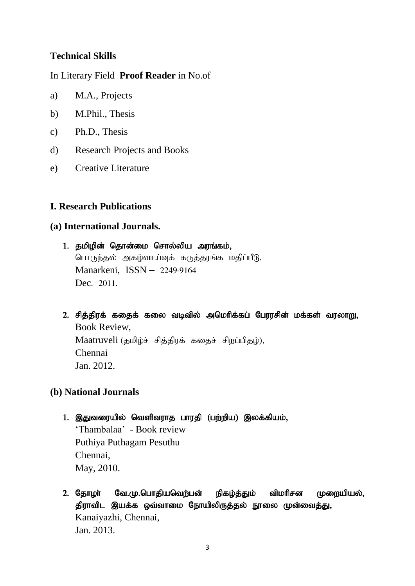# **Technical Skills**

In Literary Field **Proof Reader** in No.of

- a) M.A., Projects
- b) M.Phil., Thesis
- c) Ph.D., Thesis
- d) Research Projects and Books
- e) Creative Literature

# **I. Research Publications**

### **(a) International Journals.**

# 1. தமிழின் தொன்மை சொல்லிய அரங்கம், பொருந்தல் அகழ்வாய்வுக் கருத்தரங்க மதிப்பீடு, Manarkeni, ISSN – 2249-9164 Dec. 2011.

2. சித்திரக் கதைக் கலை வடிவில் அமெரிக்கப் பேரரசின் மக்கள் வரலாறு, Book Review, Maatruveli (தமிழ்ச் சித்திரக் கதைச் சிறப்பிதழ்), Chennai Jan. 2012.

### **(b) National Journals**

1. இதுவரையில் வெளிவராத பாரதி (பற்றிய) இலக்கியம், 'Thambalaa' - Book review Puthiya Puthagam Pesuthu Chennai,

May, 2010.

2. தோழா வே.மு.பொதியவெற்பன் நிகழ்த்தும் விமரிசன முறையியல், திராவிட இயக்க ஒவ்வாமை நோயிலிருத்தல் நூலை முன்வைத்து, Kanaiyazhi, Chennai, Jan. 2013.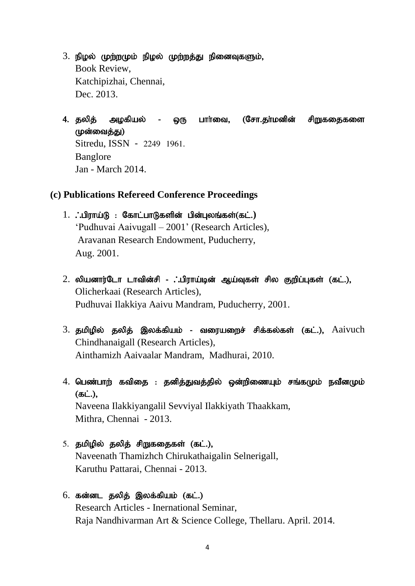- $3.$  நிழல் முற்றமும் நிழல் முற்றத்து நினைவுகளும், Book Review, Katchipizhai, Chennai, Dec. 2013.
- 4. தலித் அழகியல் ஒரு பார்வை, (சோ.தா்மனின் சிறுகதைகளை (ழன்வைத்து) Sitredu, ISSN - 2249 1961. Banglore Jan - March 2014.

### **(c) Publications Refereed Conference Proceedings**

- 1. **. .**பிராய்டு : கோட்பாடுகளின் பின்புலங்கள்(கட்.) 'Pudhuvai Aaivugall – 2001' (Research Articles), Aravanan Research Endowment, Puducherry, Aug. 2001.
- $2.$  லியனார்டோ டாவின்சி . பிராய்டின் ஆய்வுகள் சில குறிப்புகள் (கட்.), Olicherkaai (Research Articles), Pudhuvai Ilakkiya Aaivu Mandram, Puducherry, 2001.
- 3. தமிழில் தலித் இலக்கியம் வரையறைச் சிக்கல்கள் (கட்.),  $A$ aivuch Chindhanaigall (Research Articles), Ainthamizh Aaivaalar Mandram, Madhurai, 2010.
- $4.$  பெண்பாற் கவிதை : தனித்துவத்தில் ஒன்றிணையும் சங்கமும் நவீனமும்  $(ab<sub>L</sub>)$ . Naveena Ilakkiyangalil Sevviyal Ilakkiyath Thaakkam, Mithra, Chennai - 2013.
- 5. தமிழில் தலித் சிறுகதைகள் (கட்.), Naveenath Thamizhch Chirukathaigalin Selnerigall, Karuthu Pattarai, Chennai - 2013.
- $6.$  கன்னட தலித் இலக்கியம்  $($ கட். $)$ Research Articles - Inernational Seminar, Raja Nandhivarman Art & Science College, Thellaru. April. 2014.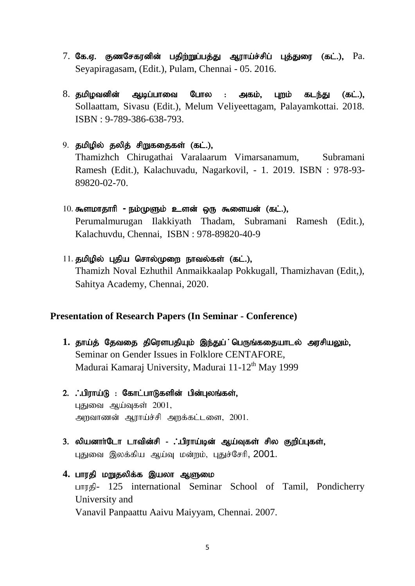- 7. கே.ஏ. குணசேகரனின் பதிற்றுப்பத்து ஆராய்ச்சிப் புத்துரை (கட்.), Pa. Seyapiragasam, (Edit.), Pulam, Chennai - 05. 2016.
- $8.$  தமிழவனின் ஆடிப்பாவை போல : அகம், புறம் கடந்து (கட்.), Sollaattam, Sivasu (Edit.), Melum Veliyeettagam, Palayamkottai. 2018. ISBN : 9-789-386-638-793.
- 9. தமிழில் தலித் சிறுகதைகள் (கட்.), Thamizhch Chirugathai Varalaarum Vimarsanamum, Subramani Ramesh (Edit.), Kalachuvadu, Nagarkovil, - 1. 2019. ISBN : 978-93- 89820-02-70.
- 10. கூளமாதாரி **-** நம்முளும் உளன் ஒரு கூளையன் (கட்.), Perumalmurugan Ilakkiyath Thadam, Subramani Ramesh (Edit.), Kalachuvdu, Chennai, ISBN : 978-89820-40-9
- $11.$  தமிழில் புதிய சொல்முறை நாவல்கள் (கட்.), Thamizh Noval Ezhuthil Anmaikkaalap Pokkugall, Thamizhavan (Edit,), Sahitya Academy, Chennai, 2020.

#### **Presentation of Research Papers (In Seminar - Conference)**

- 1. தாய்த் தேவதை திரௌபதியும் இந்துப் பெருங்கதையாடல் அரசியலும், Seminar on Gender Issues in Folklore CENTAFORE, Madurai Kamaraj University, Madurai 11-12<sup>th</sup> May 1999
- $2.$   $\therefore$ பிராய்டு : கோட்பாடுகளின் பின்புலங்கள், புதுவை ஆய்வுகள்  $2001$ , அறவாணன் ஆராய்ச்சி அறக்கட்டளை, 2001.
- 3. லியனாா்டோ டாவின்சி . பிராய்டின் ஆய்வுகள் சில குறிப்புகள், புதுவை இலக்கிய ஆய்வு மன்றம், புதுச்சேரி, 2001.
- 4. பாரதி ம<u>ா</u>ுதலிக்க இயலா ஆளுமை பாரதி- 125 international Seminar School of Tamil, Pondicherry University and Vanavil Panpaattu Aaivu Maiyyam, Chennai. 2007.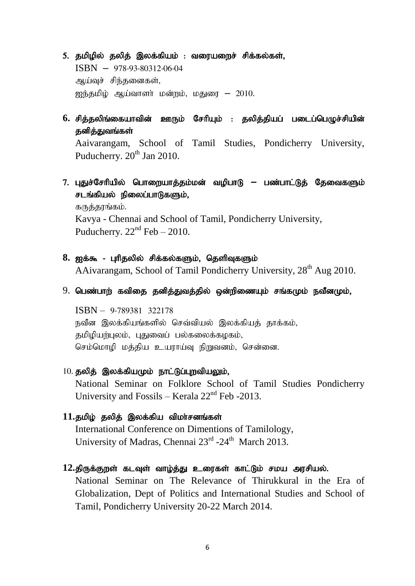- 5. தமிழில் தலித் இலக்கியம் : வரையறைச் சிக்கல்கள், ISBN – 978-93-80312-06-04 ஆய்வுச் சிந்தனைகள்,  $\widetilde{P}$ ஐந்தமிழ் ஆய்வாளர் மன்றம், மதுரை – 2010.
- $6.$  சித்தலிங்கையாவின் ஊரும் சேரியும் : தலித்தியப் படைப்பெழுச்சியின் தனித்துவங்கள்

Aaivarangam, School of Tamil Studies, Pondicherry University, Puducherry.  $20<sup>th</sup>$  Jan 2010.

7. புதுச்சேரியில் பொறையாத்தம்மன் வழிபாடு <del>–</del> பண்பாட்டுத் தேவைகளும் சடங்கியல் நிலைப்பாடுகளும்.

கருத்தரங்கம். Kavya - Chennai and School of Tamil, Pondicherry University, Puducherry.  $22<sup>nd</sup>$  Feb – 2010.

- 8. ஐக்கூ புரிதலில் சிக்கல்களும், தெளிவுகளும் AAivarangam, School of Tamil Pondicherry University,  $28<sup>th</sup>$  Aug 2010.
- $9.$  பெண்பாற் கவிதை தனித்துவத்தில் ஒன்றிணையும் சங்கமும் நவீனமும்,

ISBN – 9-789381 322178 நவீன இலக்கியங்களில் செவ்வியல் இலக்கியத் தாக்கம், தமிழியற்புலம், புதுவைப் பல்கலைக்கழகம், செம்மொழி மத்திய உயராய்வு நிறுவனம், சென்னை.

 $10.$  தலித் இலக்கியமும் நாட்டுப்புறவியலும்,

National Seminar on Folklore School of Tamil Studies Pondicherry University and Fossils – Kerala  $22<sup>nd</sup>$  Feb -2013.

- 11.தமிழ் தலித் இலக்கிய விமர்சனங்கள் International Conference on Dimentions of Tamilology, University of Madras, Chennai 23<sup>rd</sup> -24<sup>th</sup> March 2013.
- 12.திருக்குறள் கடவுள் வாழ்த்து உரைகள் காட்டும் சமய அரசியல்.

National Seminar on The Relevance of Thirukkural in the Era of Globalization, Dept of Politics and International Studies and School of Tamil, Pondicherry University 20-22 March 2014.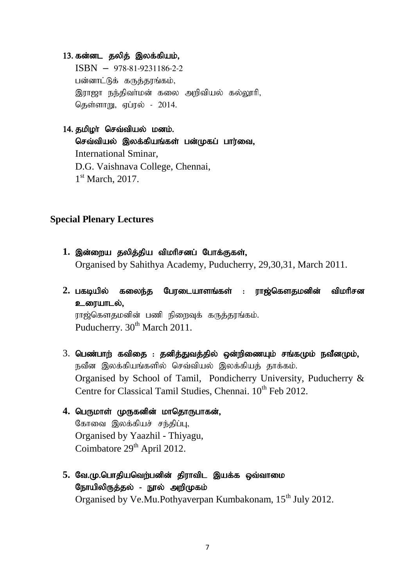#### 13. கன்னட தலித் இலக்கியம்,

ISBN – 978-81-9231186-2-2 பன்னாட்டுக் கருத்தரங்கம், இராஜா நந்திவா்மன் கலை அறிவியல் கல்லூரி, கெள்ளாறு, எப்ரல் - 2014.

### $14.$  தமிழா செவ்வியல் மனம்.

செவ்வியல் இலக்கியங்கள் பன்முகப் பார்வை, International Sminar, D.G. Vaishnava College, Chennai, 1<sup>st</sup> March, 2017.

### **Special Plenary Lectures**

- 1. இன்றைய தலித்திய விமரிசனப் போக்குகள், Organised by Sahithya Academy, Puducherry, 29,30,31, March 2011.
- 2. பகடியில் கலைந்த பேரடையாளங்கள் : ராஜ்கௌதமனின் விமரிசன உரையாடல். ராஜ்கௌதமனின் பணி நிறைவுக் கருத்தரங்கம். Puducherry. 30<sup>th</sup> March 2011.
- $3.$  பெண்பாற் கவிதை : தனித்துவத்தில் ஒன்றிணையும் சங்கமும் நவீனமும்,  $\overline{r}$ வீன இலக்கியங்களில் செவ்வியல் இலக்கியத் தாக்கம். Organised by School of Tamil, Pondicherry University, Puducherry & Centre for Classical Tamil Studies, Chennai. 10<sup>th</sup> Feb 2012.
- 4. பெருமாள் முருகனின் மாதொருபாகன், கோவை இலக்கியச் சந்திப்பு, Organised by Yaazhil - Thiyagu, Coimbatore 29<sup>th</sup> April 2012.
- 5. வே.மு.பொதியவெற்பனின் திராவிட இயக்க ஒவ்வாமை நோயிலிருத்தல் - நூல் அறிமுகம் Organised by Ve.Mu.Pothyaverpan Kumbakonam, 15<sup>th</sup> July 2012.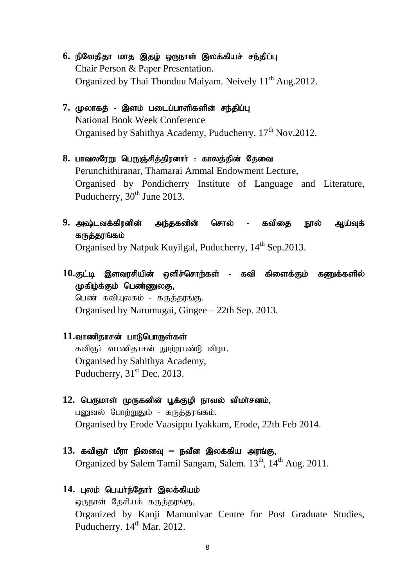- 6. நிவேதிதா மாத இதழ் ஒருநாள் இலக்கியச் சந்திப்பு Chair Person & Paper Presentation. Organized by Thai Thonduu Maiyam. Neively  $11<sup>th</sup>$  Aug. 2012.
- 7. முலாகத் இளம் படைப்பாளிகளின் சந்திப்பு National Book Week Conference Organised by Sahithya Academy, Puducherry. 17<sup>th</sup> Nov.2012.
- 8. பாவலரேறு பெருஞ்சித்திரனாா்: காலத்தின் தேவை Perunchithiranar, Thamarai Ammal Endowment Lecture, Organised by Pondicherry Institute of Language and Literature, Puducherry,  $30<sup>th</sup>$  June 2013.
- 9. அஷ்டவக்கிரனின் அந்தகனின் சொல் கவிதை நூல் ஆய்வுக் கருத்தரங்கம்

Organised by Natpuk Kuvilgal, Puducherry, 14<sup>th</sup> Sep.2013.

 $10.$ குட்டி இளவரசியின் ஒளிச்சொற்கள் - கவி கிளைக்கும் கணுக்களில் முகிம்க்கும் பெண்ணுலகு,

பெண் கவியுலகம் - கருத்தரங்கு. Organised by Narumugai, Gingee – 22th Sep. 2013.

#### 11.வாணிதாசன் பாடுபொருள்கள்

கவிஞர் வாணிதாசன் நூற்றாண்டு விழா, Organised by Sahithya Academy, Puducherry,  $31<sup>st</sup>$  Dec. 2013.

#### 12. பெருமாள் முருகனின் பூக்குழி நாவல் விமா்சனம்,

பனுவல் போற்றுதும் - கருத்தரங்கம். Organised by Erode Vaasippu Iyakkam, Erode, 22th Feb 2014.

#### 13. கவிஞர் மீரா நினைவு <del>–</del> நவீன இலக்கிய அரங்கு,

Organized by Salem Tamil Sangam, Salem. 13<sup>th</sup>, 14<sup>th</sup> Aug. 2011.

#### 14. புலம் பெயர்ந்தோர் இலக்கியம்

ஒருநாள் தேசியக் கருத்தரங்கு, Organized by Kanji Mamunivar Centre for Post Graduate Studies, Puducherry. 14<sup>th</sup> Mar. 2012.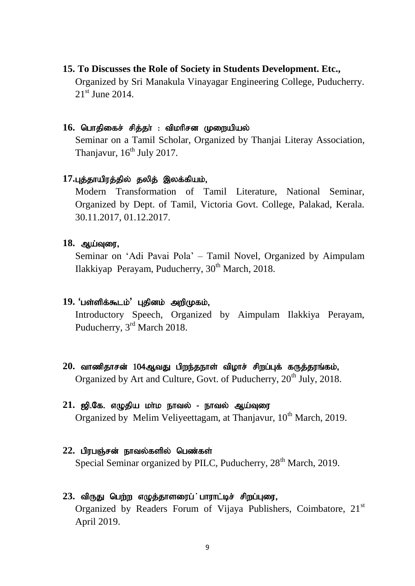### **15. To Discusses the Role of Society in Students Development. Etc.,**

Organized by Sri Manakula Vinayagar Engineering College, Puducherry.  $21<sup>st</sup>$  June 2014.

### 16. பொதிகைச் சித்தா் : விமாிசன முறையியல்

Seminar on a Tamil Scholar, Organized by Thanjai Literay Association, Thanjavur,  $16<sup>th</sup>$  July 2017.

#### 17.புத்தாயிரத்தில் தலித் இலக்கியம்,

Modern Transformation of Tamil Literature, National Seminar, Organized by Dept. of Tamil, Victoria Govt. College, Palakad, Kerala. 30.11.2017, 01.12.2017.

#### 18. ஆய்வுரை,

Seminar on 'Adi Pavai Pola' – Tamil Novel, Organized by Aimpulam Ilakkiyap Perayam, Puducherry,  $30<sup>th</sup>$  March, 2018.

#### 19. 'பள்ளிக்கூடம்' புதினம் அறிமுகம்,

Introductory Speech, Organized by Aimpulam Ilakkiya Perayam, Puducherry, 3rd March 2018.

20. வாணிதாசன் 104ஆவது பிறந்தநாள் விழாச் சிறப்புக் கருத்தரங்கம், Organized by Art and Culture, Govt. of Puducherry,  $20<sup>th</sup>$  July, 2018.

# 21. ஜி.கே. எழுதிய மாம நாவல் - நாவல் ஆய்வுரை

Organized by Melim Veliveettagam, at Thanjavur,  $10^{th}$  March, 2019.

22. பிரபஞ்சன் நாவல்களில் பெண்கள் Special Seminar organized by PILC, Puducherry,  $28<sup>th</sup>$  March, 2019.

# 23. விருது பெற்ற எழுத்தாளரைப் பாராட்டிச் சிறப்புரை, Organized by Readers Forum of Vijaya Publishers, Coimbatore, 21st April 2019.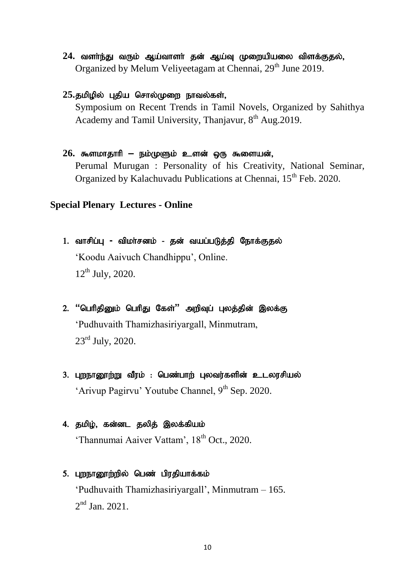- 24. வளர்ந்து வரும் ஆய்வாளர் தன் ஆய்வு முறையியலை விளக்குதல், Organized by Melum Veliyeetagam at Chennai, 29<sup>th</sup> June 2019.
- 25.தமிழில் புதிய சொல்முறை நாவல்கள்,

Symposium on Recent Trends in Tamil Novels, Organized by Sahithya Academy and Tamil University, Thanjavur, 8<sup>th</sup> Aug. 2019.

26. கூளமாதாரி <del>–</del> நம்முளும் உளன் ஒரு கூளையன்,

Perumal Murugan : Personality of his Creativity, National Seminar, Organized by Kalachuvadu Publications at Chennai, 15<sup>th</sup> Feb. 2020.

# **Special Plenary Lectures - Online**

- 1. வாசிப்பு விமாசனம் தன் வயப்படுத்தி நோக்குதல் 'Koodu Aaivuch Chandhippu', Online.  $12^{th}$  July, 2020.
- 2. **"பெரிதினும் பெரிது கேள்" அறிவுப் புலத்தின் இலக்கு** 'Pudhuvaith Thamizhasiriyargall, Minmutram, 23<sup>rd</sup> July, 2020.
- 3. புறநானூற்று வீரம் : பெண்பாற் புலவர்களின் உடலரசியல் 'Arivup Pagirvu' Youtube Channel,  $9<sup>th</sup>$  Sep. 2020.
- 4. தமிழ், கன்னட தலித் இலக்கியம் 'Thannumai Aaiver Vattam', 18<sup>th</sup> Oct., 2020.
- 5. புறநானூற்றில் பெண் பிரதியாக்கம் 'Pudhuvaith Thamizhasiriyargall', Minmutram – 165.  $2<sup>nd</sup>$  Jan. 2021.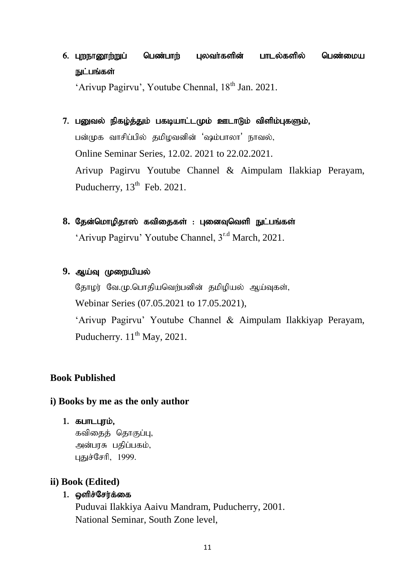# 6. புறநானூற்றுப் பெண்பாற் புலவா்களின் பாடல்களில் பெண்மைய நுட்பங்கள்

'Arivup Pagirvu', Youtube Chennal, 18<sup>th</sup> Jan. 2021.

- 7. பனுவல் நிகழ்த்தும் பகடியாட்டமும் ஊடாடும் விளிம்புகளும், பன்முக வாசிப்பில் தமிழவனின் 'ஷம்பாலா' நாவல், Online Seminar Series, 12.02. 2021 to 22.02.2021. Arivup Pagirvu Youtube Channel & Aimpulam Ilakkiap Perayam, Puducherry,  $13<sup>th</sup>$  Feb. 2021.
- 8. தேன்மொழிதாஸ் கவிதைகள் : புனைவுவெளி நுட்பங்கள் 'Arivup Pagirvu' Youtube Channel, 3r.d March, 2021.
- 9. ஆய்வ மு**ளையியல்**

தோழர் வே.மு.பொதியவெற்பனின் தமிழியல் ஆய்வுகள், Webinar Series (07.05.2021 to 17.05.2021),

'Arivup Pagirvu' Youtube Channel & Aimpulam Ilakkiyap Perayam, Puducherry.  $11<sup>th</sup>$  May, 2021.

# **Book Published**

### **i) Books by me as the only author**

 $1.$   $B$  $L$ п $L$  $L$ г $j$  $i$  $j$  $k$ ,

கவிகைத் தொகுப்பு, அன்பரசு பதிப்பகம், புதுச்சேரி, 1999.

### **ii) Book (Edited)**

### 1. ஓளிச்சேர்க்கை

Puduvai Ilakkiya Aaivu Mandram, Puducherry, 2001. National Seminar, South Zone level,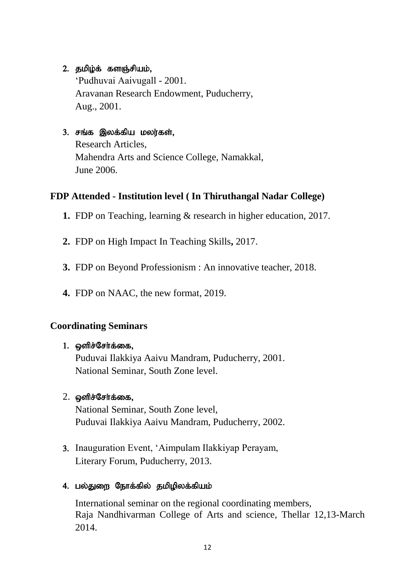# 2. தமிழ்க் களஞ்சியம்,

'Pudhuvai Aaivugall - 2001. Aravanan Research Endowment, Puducherry, Aug., 2001.

# 3. சங்க இலக்கிய மலர்கள்,

Research Articles, Mahendra Arts and Science College, Namakkal, June 2006.

# **FDP Attended - Institution level ( In Thiruthangal Nadar College)**

- **1.** FDP on Teaching, learning & research in higher education, 2017.
- **2.** FDP on High Impact In Teaching Skills**,** 2017.
- **3.** FDP on Beyond Professionism : An innovative teacher, 2018.
- **4.** FDP on NAAC, the new format, 2019.

# **Coordinating Seminars**

# 1. ஔிச்சேர்க்கை,

Puduvai Ilakkiya Aaivu Mandram, Puducherry, 2001. National Seminar, South Zone level.

# $2.$   $\varphi$ ளிச்சேர்க்கை,

National Seminar, South Zone level, Puduvai Ilakkiya Aaivu Mandram, Puducherry, 2002.

3. Inauguration Event, 'Aimpulam Ilakkiyap Perayam, Literary Forum, Puducherry, 2013.

# 4. பல்துறை நோக்கில் தமிழிலக்கியம்

International seminar on the regional coordinating members, Raja Nandhivarman College of Arts and science, Thellar 12,13-March 2014.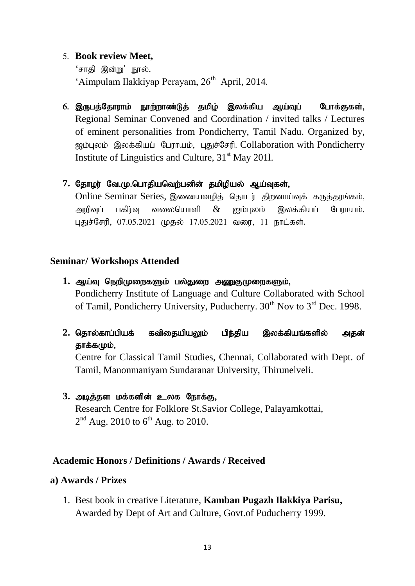# 5. **Book review Meet,**

'சாதி இன்று' நூல், 'Aimpulam Ilakkiyap Perayam, 26<sup>th</sup> April, 2014.

6. இருபத்தோராம் நூற்றாண்டுத் தமிழ் இலக்கிய ஆய்வுப் போக்குகள், Regional Seminar Convened and Coordination / invited talks / Lectures of eminent personalities from Pondicherry, Tamil Nadu. Organized by, ஐம்புலம் இலக்கியப் பேராயம், புதுச்சேரி. Collaboration with Pondicherry Institute of Linguistics and Culture,  $31<sup>st</sup>$  May 2011.

### 7. தோழர் வே.மு.பொதியவெற்பனின் தமிழியல் ஆய்வுகள்,

Online Seminar Series, இணையவமிக் கொடர் கிறனாய்வக் கருக்காங்கம், அறிவுப் பகிர்வு வலையொளி  $\&$  ஐம்புலம் இலக்கியப் போாயம். புதுச்சேரி, 07.05.2021 முதல் 17.05.2021 வரை, 11 நாட்கள்.

# **Seminar/ Workshops Attended**

- 1. ஆய்வு நெறிமுறைகளும் பல்துறை அணுகுமுறைகளும், Pondicherry Institute of Language and Culture Collaborated with School of Tamil, Pondicherry University, Puducherry.  $30<sup>th</sup>$  Nov to  $3<sup>rd</sup>$  Dec. 1998.
- 2. தொல்காப்பியக் கவிதையியலும் பிந்திய இலக்கியங்களில் அதன் தாக்கமும்,

Centre for Classical Tamil Studies, Chennai, Collaborated with Dept. of Tamil, Manonmaniyam Sundaranar University, Thirunelveli.

# 3. அடித்தள மக்களின் உலக நோக்கு,

Research Centre for Folklore St.Savior College, Palayamkottai,  $2<sup>nd</sup>$  Aug. 2010 to 6<sup>th</sup> Aug. to 2010.

# **Academic Honors / Definitions / Awards / Received**

### **a) Awards / Prizes**

1. Best book in creative Literature, **Kamban Pugazh Ilakkiya Parisu,** Awarded by Dept of Art and Culture, Govt.of Puducherry 1999.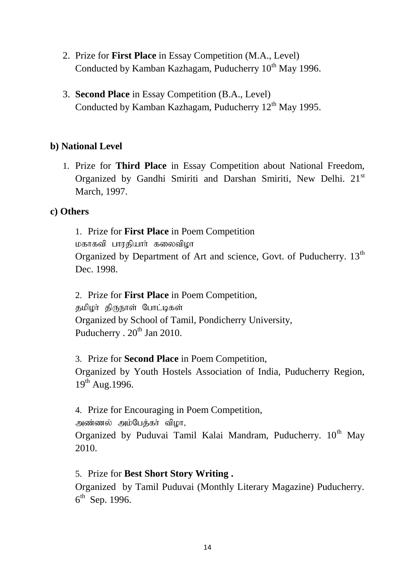- 2. Prize for **First Place** in Essay Competition (M.A., Level) Conducted by Kamban Kazhagam, Puducherry  $10<sup>th</sup>$  May 1996.
- 3. **Second Place** in Essay Competition (B.A., Level) Conducted by Kamban Kazhagam, Puducherry  $12<sup>th</sup>$  May 1995.

# **b) National Level**

1. Prize for **Third Place** in Essay Competition about National Freedom, Organized by Gandhi Smiriti and Darshan Smiriti, New Delhi. 21<sup>st</sup> March, 1997.

# **c) Others**

1. Prize for **First Place** in Poem Competition மகாகவி பாரதியார் கலைவிமா Organized by Department of Art and science, Govt. of Puducherry. 13<sup>th</sup> Dec. 1998.

2. Prize for **First Place** in Poem Competition,

தமிழா திருநாள் போட்டிகள் Organized by School of Tamil, Pondicherry University, Puducherry .  $20^{th}$  Jan 2010.

3. Prize for **Second Place** in Poem Competition,

Organized by Youth Hostels Association of India, Puducherry Region,  $19^{th}$  Aug. 1996.

4. Prize for Encouraging in Poem Competition,

அண்ணல் அம்பேக்கா் விழா,

Organized by Puduvai Tamil Kalai Mandram, Puducherry. 10<sup>th</sup> May 2010.

# 5. Prize for **Best Short Story Writing .**

Organized by Tamil Puduvai (Monthly Literary Magazine) Puducherry. 6<sup>th</sup> Sep. 1996.